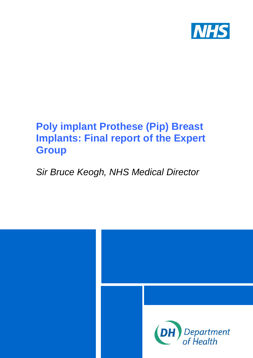

# **Poly implant Prothese (Pip) Breast Implants: Final report of the Expert Group**

## <span id="page-0-0"></span>*Sir Bruce Keogh, NHS Medical Director*

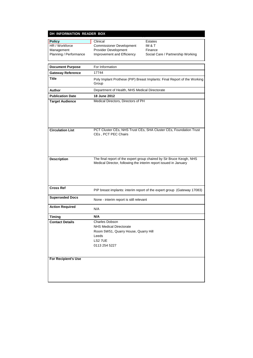#### **DH INFORMATION READER BOX**

| <b>Policy</b>          | Clinical                        | Estate |
|------------------------|---------------------------------|--------|
| HR / Workforce         | <b>Commissioner Development</b> | IM & T |
| Management             | <b>Provider Development</b>     | Financ |
| Planning / Performance | Improvement and Efficiency      | Social |

**Postates**<br>**IM & T** Finance Social Care / Partnership Working

| <b>Document Purpose</b>    | For Information                                                                                                                          |
|----------------------------|------------------------------------------------------------------------------------------------------------------------------------------|
| <b>Gateway Reference</b>   | 17744                                                                                                                                    |
| <b>Title</b>               | Poly Implant Prothese (PIP) Breast Implants: Final Report of the Working<br>Group                                                        |
| Author                     | Department of Health, NHS Medical Directorate                                                                                            |
| <b>Publication Date</b>    | 18 June 2012                                                                                                                             |
| <b>Target Audience</b>     | Medical Directors, Directors of PH                                                                                                       |
| <b>Circulation List</b>    | PCT Cluster CEs, NHS Trust CEs, SHA Cluster CEs, Foundation Trust<br>CEs, PCT PEC Chairs                                                 |
| <b>Description</b>         | The final report of the expert group chaired by Sir Bruce Keogh, NHS<br>Medical Director, following the interim report issued in January |
| <b>Cross Ref</b>           | PIP breast implants: interim report of the expert group (Gateway 17083)                                                                  |
| <b>Superseded Docs</b>     | None - interim report is still relevant                                                                                                  |
| <b>Action Required</b>     | N/A                                                                                                                                      |
| Timing                     | N/A                                                                                                                                      |
| <b>Contact Details</b>     | <b>Charles Dobson</b><br><b>NHS Medical Directorate</b><br>Room 5W51, Quarry House, Quarry Hill<br>Leeds<br>LS2 7UE<br>0113 254 5227     |
| <b>For Recipient's Use</b> |                                                                                                                                          |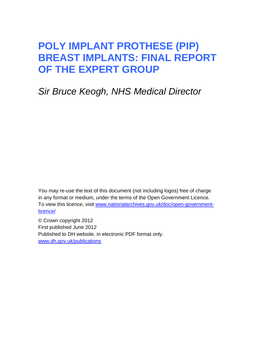## **POLY IMPLANT PROTHESE (PIP) BREAST IMPLANTS: FINAL REPORT OF THE EXPERT GROUP**

## *Sir Bruce Keogh, NHS Medical Director*

You may re-use the text of this document (not including logos) free of charge in any format or medium, under the terms of the Open Government Licence. To view this licence, visit [www.nationalarchives.gov.uk/doc/open-government](http://www.nationalarchives.gov.uk/doc/open-government-licence/)[licence/](http://www.nationalarchives.gov.uk/doc/open-government-licence/)

© Crown copyright 2012 First published June 2012 Published to DH website, in electronic PDF format only. [www.dh.gov.uk/publications](http://www.dh.gov.uk/publications)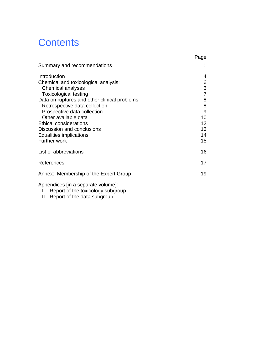# **Contents**

|                                               | Page            |
|-----------------------------------------------|-----------------|
| Summary and recommendations                   | 1               |
| Introduction                                  | 4               |
| Chemical and toxicological analysis:          | 6               |
| Chemical analyses                             | 6               |
| <b>Toxicological testing</b>                  | 7               |
| Data on ruptures and other clinical problems: | 8               |
| Retrospective data collection                 | 8               |
| Prospective data collection                   | 9               |
| Other available data                          | 10              |
| <b>Ethical considerations</b>                 | 12 <sup>2</sup> |
| Discussion and conclusions                    | 13              |
| Equalities implications                       | 14              |
| <b>Further work</b>                           | 15              |
| List of abbreviations                         | 16              |
| References                                    | 17              |
| Annex: Membership of the Expert Group         | 19              |
| Appendices (in a separate volume):            |                 |

- I Report of the toxicology subgroup
- II Report of the data subgroup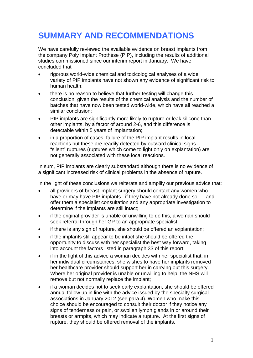## <span id="page-4-0"></span>**SUMMARY AND RECOMMENDATIONS**

We have carefully reviewed the available evidence on breast implants from the company Poly Implant Prothèse (PIP), including the results of additional studies commissioned since our interim report in January. We have concluded that

- rigorous world-wide chemical and toxicological analyses of a wide variety of PIP implants have not shown any evidence of significant risk to human health;
- there is no reason to believe that further testing will change this conclusion, given the results of the chemical analysis and the number of batches that have now been tested world-wide, which have all reached a similar conclusion;
- PIP implants are significantly more likely to rupture or leak silicone than other implants, by a factor of around 2-6, and this difference is detectable within 5 years of implantation;
- in a proportion of cases, failure of the PIP implant results in local reactions but these are readily detected by outward clinical signs – "silent" ruptures (ruptures which come to light only on explantation) are not generally associated with these local reactions.

In sum, PIP implants are clearly substandard although there is no evidence of a significant increased risk of clinical problems in the absence of rupture.

In the light of these conclusions we reiterate and amplify our previous advice that:

- all providers of breast implant surgery should contact any women who have or may have PIP implants– if they have not already done so – and offer them a specialist consultation and any appropriate investigation to determine if the implants are still intact;
- if the original provider is unable or unwilling to do this, a woman should seek referral through her GP to an appropriate specialist;
- if there is any sign of rupture, she should be offered an explantation:
- if the implants still appear to be intact she should be offered the opportunity to discuss with her specialist the best way forward, taking into account the factors listed in paragraph [33](#page-16-1) of this report;
- if in the light of this advice a woman decides with her specialist that, in her individual circumstances, she wishes to have her implants removed her healthcare provider should support her in carrying out this surgery. Where her original provider is unable or unwilling to help, the NHS will remove but not normally replace the implant;
- if a woman decides not to seek early explantation, she should be offered annual follow up in line with the advice issued by the specialty surgical associations in January 2012 (see para [4\)](#page-8-0). Women who make this choice should be encouraged to consult their doctor if they notice any signs of tenderness or pain, or swollen lymph glands in or around their breasts or armpits, which may indicate a rupture. At the first signs of rupture, they should be offered removal of the implants.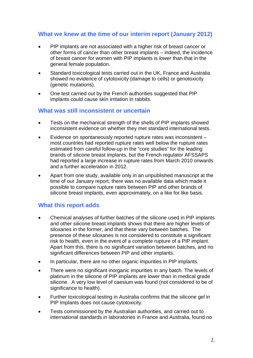#### **What we knew at the time of our interim report (January 2012)**

- PIP implants are not associated with a higher risk of breast cancer or other forms of cancer than other breast implants – indeed, the incidence of breast cancer for women with PIP implants is *lower* than that in the general female population.
- Standard toxicological tests carried out in the UK, France and Australia showed no evidence of cytotoxicity (damage to cells) or genotoxicity (genetic mutations).
- One test carried out by the French authorities suggested that PIP implants could cause skin irritation in rabbits.

#### **What was still inconsistent or uncertain**

- Tests on the mechanical strength of the shells of PIP implants showed inconsistent evidence on whether they met standard international tests.
- Evidence on spontaneously reported rupture rates was inconsistent most countries had reported rupture rates well below the rupture rates estimated from careful follow-up in the "core studies" for the leading brands of silicone breast implants, but the French regulator AFSSAPS had reported a large increase in rupture rates from March 2010 onwards and a further acceleration in 2012.
- Apart from one study, available only in an unpublished manuscript at the time of our January report, there was no available data which made it possible to compare rupture rates between PIP and other brands of silicone breast implants, even approximately, on a like for like basis.

#### **What this report adds**

- Chemical analyses of further batches of the silicone used in PIP implants and other silicone breast implants shows that there are higher levels of siloxanes in the former, and that these vary between batches. The presence of these siloxanes is not considered to constitute a significant risk to health, even in the event of a complete rupture of a PIP implant. Apart from this, there is no significant variation between batches, and no significant differences between PIP and other implants.
- In particular, there are no other organic impurities in PIP implants.
- There were no significant inorganic impurities in any batch. The levels of platinum in the silicone of PIP implants are lower than in medical grade silicone. A very low level of caesium was found (not considered to be of significance to health).
- Further toxicological testing in Australia confirms that the silicone gel in PIP implants does not cause cytotoxicity.
- Tests commissioned by the Australian authorities, and carried out to international standards in laboratories in France and Australia, found no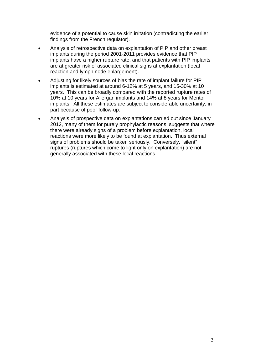evidence of a potential to cause skin irritation (contradicting the earlier findings from the French regulator).

- Analysis of retrospective data on explantation of PIP and other breast implants during the period 2001-2011 provides evidence that PIP implants have a higher rupture rate, and that patients with PIP implants are at greater risk of associated clinical signs at explantation (local reaction and lymph node enlargement).
- Adjusting for likely sources of bias the rate of implant failure for PIP implants is estimated at around 6-12% at 5 years, and 15-30% at 10 years. This can be broadly compared with the reported rupture rates of 10% at 10 years for Allergan implants and 14% at 8 years for Mentor implants. All these estimates are subject to considerable uncertainty, in part because of poor follow-up.
- Analysis of prospective data on explantations carried out since January 2012, many of them for purely prophylactic reasons, suggests that where there were already signs of a problem before explantation, local reactions were more likely to be found at explantation. Thus external signs of problems should be taken seriously. Conversely, "silent" ruptures (ruptures which come to light only on explantation) are not generally associated with these local reactions.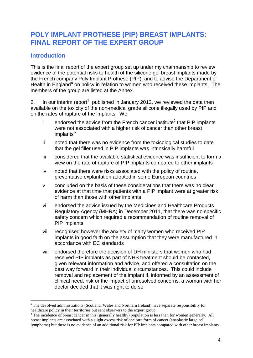## **POLY IMPLANT PROTHESE (PIP) BREAST IMPLANTS: FINAL REPORT OF THE EXPERT GROUP**

#### <span id="page-7-0"></span>**Introduction**

This is the final report of the expert group set up under my chairmanship to review evidence of the potential risks to health of the silicone gel breast implants made by the French company Poly Implant Prothèse (PIP), and to advise the Department of He[a](#page-0-0)lth in England<sup>a</sup> on policy in relation to women who received these implants. The members of the group are listed at the Annex.

2. In our interim report<sup>[1](#page-20-1)</sup>, published in January 2012, we reviewed the data then available on the toxicity of the non-medical grade silicone illegally used by PIP and on the rates of rupture of the implants. We

- i endorsed the advice from the French cancer institute<sup>2</sup> that PIP implants were not associated with a higher risk of cancer than other breast implants<sup>[b](#page-7-1)</sup>
- ii noted that there was no evidence from the toxicological studies to date that the gel filler used in PIP implants was intrinsically harmful
- iii considered that the available statistical evidence was insufficient to form a view on the rate of rupture of PIP implants compared to other implants
- iv noted that there were risks associated with the policy of routine, preventative explantation adopted in some European countries
- v concluded on the basis of these considerations that there was no clear evidence at that time that patients with a PIP implant were at greater risk of harm than those with other implants
- vi endorsed the advice issued by the Medicines and Healthcare Products Regulatory Agency (MHRA) in December 2011, that there was no specific safety concern which required a recommendation of routine removal of PIP implants
- vii recognised however the anxiety of many women who received PIP implants in good faith on the assumption that they were manufactured in accordance with EC standards
- viii endorsed therefore the decision of DH ministers that women who had received PIP implants as part of NHS treatment should be contacted, given relevant information and advice, and offered a consultation on the best way forward in their individual circumstances. This could include removal and replacement of the implant if, informed by an assessment of clinical need, risk or the impact of unresolved concerns, a woman with her doctor decided that it was right to do so

<sup>&</sup>lt;sup>a</sup> The devolved administrations (Scotland, Wales and Northern Ireland) have separate responsibility for

<span id="page-7-2"></span><span id="page-7-1"></span>healthcare policy in their territories but sent observers to the expert group.<br><sup>b</sup> The incidence of breast cancer in this (generally healthy) population is less than for women generally. All breast implants are associated with a slight excess risk of one rare form of cancer (anaplastic large cell lymphoma) but there is no evidence of an additional risk for PIP implants compared with other breast implants.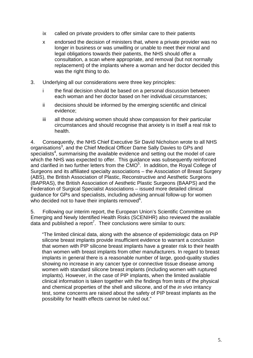- ix called on private providers to offer similar care to their patients
- x endorsed the decision of ministers that, where a private provider was no longer in business or was unwilling or unable to meet their moral and legal obligations towards their patients, the NHS should offer a consultation, a scan where appropriate, and removal (but not normally replacement) of the implants where a woman and her doctor decided this was the right thing to do.
- 3. Underlying all our considerations were three key principles:
	- i the final decision should be based on a personal discussion between each woman and her doctor based on her individual circumstances;
	- ii decisions should be informed by the emerging scientific and clinical evidence;
	- iii all those advising women should show compassion for their particular circumstances and should recognise that anxiety is in itself a real risk to health.

<span id="page-8-0"></span>4. Consequently, the NHS Chief Executive Sir David Nicholson wrote to all NHS organisations<sup>3</sup>, and the Chief Medical Officer Dame Sally Davies to GPs and specialists<sup>4</sup>, summarising the available evidence and setting out the model of care which the NHS was expected to offer. This guidance was subsequently reinforced and clarified in two further letters from the  $CMO<sup>5</sup>$ . In addition, the Royal College of Surgeons and its affiliated specialty associations – the Association of Breast Surgery (ABS), the British Association of Plastic, Reconstructive and Aesthetic Surgeons (BAPRAS), the British Association of Aesthetic Plastic Surgeons (BAAPS) and the Federation of Surgical Specialist Associations – issued more detailed clinical guidance for GPs and specialists, including advising annual follow-up for women who decided not to have their implants removed $6$ .

5. Following our interim report, the European Union's Scientific Committee on Emerging and Newly Identified Health Risks (SCENIHR) also reviewed the available data and published a report<sup>7</sup>. Their conclusions were similar to ours:

"The limited clinical data, along with the absence of epidemiologic data on PIP silicone breast implants provide insufficient evidence to warrant a conclusion that women with PIP silicone breast implants have a greater risk to their health than women with breast implants from other manufacturers. In regard to breast implants in general there is a reasonable number of large, good-quality studies showing no increase in any cancer type or connective tissue disease among women with standard silicone breast implants (including women with ruptured implants). However, in the case of PIP implants, when the limited available clinical information is taken together with the findings from tests of the physical and chemical properties of the shell and silicone, and of the *in vivo* irritancy test, some concerns are raised about the safety of PIP breast implants as the possibility for health effects cannot be ruled out."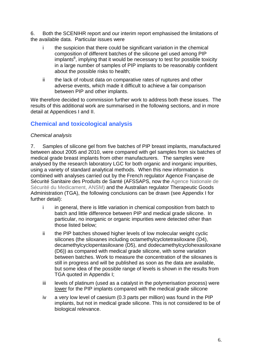6. Both the SCENIHR report and our interim report emphasised the limitations of the available data. Particular issues were

- i the suspicion that there could be significant variation in the chemical composition of different batches of the silicone gel used among PIP implants $8$ , implying that it would be necessary to test for possible toxicity in a large number of samples of PIP implants to be reasonably confident about the possible risks to health;
- ii the lack of robust data on comparative rates of ruptures and other adverse events, which made it difficult to achieve a fair comparison between PIP and other implants.

We therefore decided to commission further work to address both these issues. The results of this additional work are summarised in the following sections, and in more detail at Appendices I and II.

### <span id="page-9-0"></span>**Chemical and toxicological analysis**

#### <span id="page-9-1"></span>*Chemical analysis*

<span id="page-9-2"></span>7. Samples of silicone gel from five batches of PIP breast implants, manufactured between about 2005 and 2010, were compared with gel samples from six batches of medical grade breast implants from other manufacturers. The samples were analysed by the research laboratory LGC for both organic and inorganic impurities, using a variety of standard analytical methods. When this new information is combined with analyses carried out by the French regulator Agence Française de Sécurité Sanitaire des Produits de Santé (AFSSAPS, now the Agence Nationale de Sécurité du Medicament, ANSM) and the Australian regulator Therapeutic Goods Administration (TGA), the following conclusions can be drawn (see Appendix I for further detail):

- i in general, there is little variation in chemical composition from batch to batch and little difference between PIP and medical grade silicone. In particular, no inorganic or organic impurities were detected other than those listed below;
- ii the PIP batches showed higher levels of low molecular weight cyclic silicones (the siloxanes including octamethylcyclotetrasiloxane (D4), decamethylcyclopentasiloxane (D5), and dodecamethylcyclohexasiloxane (D6)) as compared with medical grade silicone, with some variation between batches. Work to measure the concentration of the siloxanes is still in progress and will be published as soon as the data are available, but some idea of the possible range of levels is shown in the results from TGA quoted in Appendix I;
- iii levels of platinum (used as a catalyst in the polymerisation process) were lower for the PIP implants compared with the medical grade silicone
- iv a very low level of caesium (0.3 parts per million) was found in the PIP implants, but not in medical grade silicone. This is not considered to be of biological relevance.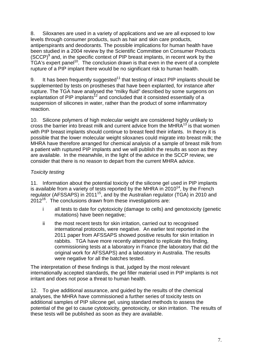8. Siloxanes are used in a variety of applications and we are all exposed to low levels through consumer products, such as hair and skin care products, antiperspirants and deodorants. The possible implications for human health have been studied in a 2004 review by the Scientific Committee on Consumer Products  $(SCCP)^9$  and, in the specific context of PIP breast implants, in recent work by the TGA's expert panel<sup>10</sup>. The conclusion drawn is that even in the event of a complete rupture of a PIP implant there would be no significant risk to human health.

<span id="page-10-1"></span>9. It has been frequently suggested $11$  that testing of intact PIP implants should be supplemented by tests on prostheses that have been explanted, for instance after rupture. The TGA have analysed the "milky fluid" described by some surgeons on explantation of PIP implants<sup>12</sup> and concluded that it consisted essentially of a suspension of silicones in water, rather than the product of some inflammatory reaction.

10. Silicone polymers of high molecular weight are considered highly unlikely to cross the barrier into breast milk and current advice from the MHR $A^{13}$  is that women with PIP breast implants should continue to breast feed their infants. In theory it is possible that the lower molecular weight siloxanes could migrate into breast milk; the MHRA have therefore arranged for chemical analysis of a sample of breast milk from a patient with ruptured PIP implants and we will publish the results as soon as they are available. In the meanwhile, in the light of the advice in the SCCP review, we consider that there is no reason to depart from the current MHRA advice.

#### <span id="page-10-0"></span>*Toxicity testing*

11. Information about the potential toxicity of the silicone gel used in PIP implants is available from a variety of tests reported by the MHRA in  $2010^{14}$ , by the French regulator (AFSSAPS) in 201115, and by the Australian regulator (TGA) in 2010 and  $2012^{16}$ . The conclusions drawn from these investigations are:

- i all tests to date for cytotoxicity (damage to cells) and genotoxicity (genetic mutations) have been negative;
- ii the most recent tests for skin irritation, carried out to recognised international protocols, were negative. An earlier test reported in the 2011 paper from AFSSAPS showed positive results for skin irritation in rabbits. TGA have more recently attempted to replicate this finding, commissioning tests at a laboratory in France (the laboratory that did the original work for AFSSAPS) and a laboratory in Australia. The results were negative for all the batches tested.

The interpretation of these findings is that, judged by the most relevant internationally accepted standards, the gel filler material used in PIP implants is not irritant and does not pose a threat to human health.

12. To give additional assurance, and guided by the results of the chemical analyses, the MHRA have commissioned a further series of toxicity tests on additional samples of PIP silicone gel, using standard methods to assess the potential of the gel to cause cytotoxicity, genotoxicity, or skin irritation. The results of these tests will be published as soon as they are available.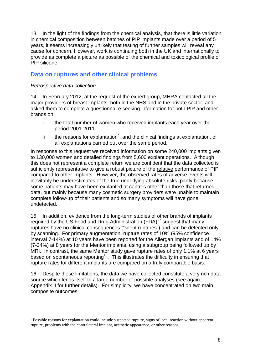13. In the light of the findings from the chemical analysis, that there is little variation in chemical composition between batches of PIP implants made over a period of 5 years, it seems increasingly unlikely that testing of further samples will reveal any cause for concern. However, work is continuing both in the UK and internationally to provide as complete a picture as possible of the chemical and toxicological profile of PIP silicone.

#### <span id="page-11-0"></span>**Data on ruptures and other clinical problems**

#### <span id="page-11-1"></span>*Retrospective data collection*

14. In February 2012, at the request of the expert group, MHRA contacted all the major providers of breast implants, both in the NHS and in the private sector, and asked them to complete a questionnaire seeking information for both PIP and other brands on

- i the total number of women who received implants each year over the period 2001-2011
- ii the reasons for explantation<sup>[c](#page-7-2)</sup>, and the clinical findings at explantation, of all explantations carried out over the same period.

In response to this request we received information on some 240,000 implants given to 130,000 women and detailed findings from 5,600 explant operations. Although this does not represent a complete return we are confident that the data collected is sufficiently representative to give a robust picture of the relative performance of PIP compared to other implants. However, the observed rates of adverse events will inevitably be underestimates of the true underlying absolute risks, partly because some patients may have been explanted at centres other than those that returned data, but mainly because many cosmetic surgery providers were unable to maintain complete follow-up of their patients and so many symptoms will have gone undetected.

<span id="page-11-3"></span>15. In addition, evidence from the long-term studies of other brands of implants required by the US Food and Drug Administration  $(FDA)^{17}$  suggest that many ruptures have no clinical consequences ("silent ruptures") and can be detected only by scanning. For primary augmentation, rupture rates of 10% (95% confidence interval 7-14%) at 10 years have been reported for the Allergan implants and of 14% (7-24%) at 8 years for the Mentor implants, using a subgroup being followed up by MRI. In contrast, the same Mentor study gave rupture rates of only 1.1% at 6 years based on spontaneous reporting<sup>18</sup>. This illustrates the difficulty in ensuring that rupture rates for different implants are compared on a truly comparable basis.

16. Despite these limitations, the data we have collected constitute a very rich data source which lends itself to a large number of possible analyses (see again Appendix II for further details). For simplicity, we have concentrated on two main composite outcomes:

<span id="page-11-2"></span>c Possible reasons for explantation could include suspected rupture, signs of local reaction without apparent rupture, problems with the contralateral implant, aesthetic appearance, or other reasons.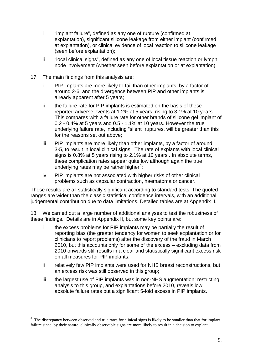- i "implant failure", defined as any one of rupture (confirmed at explantation), significant silicone leakage from either implant (confirmed at explantation), or clinical evidence of local reaction to silicone leakage (seen before explantation);
- ii "local clinical signs", defined as any one of local tissue reaction or lymph node involvement (whether seen before explantation or at explantation).
- 17. The main findings from this analysis are:
	- i PIP implants are more likely to fail than other implants, by a factor of around 2-6, and the divergence between PIP and other implants is already apparent after 5 years;
	- ii the failure rate for PIP implants is estimated on the basis of these reported adverse events at 1.2% at 5 years, rising to 3.1% at 10 years. This compares with a failure rate for other brands of silicone gel implant of 0.2 - 0.4% at 5 years and 0.5 - 1.1% at 10 years. However the true underlying failure rate, including "silent" ruptures, will be greater than this for the reasons set out above;
	- iii PIP implants are more likely than other implants, by a factor of around 3-5, to result in local clinical signs. The rate of explants with local clinical signs is 0.8% at 5 years rising to 2.1% at 10 years . In absolute terms, these complication rates appear quite low although again the true un[d](#page-11-2)erlying rates may be rather higher<sup>d</sup>;
	- iv PIP implants are not associated with higher risks of other clinical problems such as capsular contraction, haematoma or cancer.

These results are all statistically significant according to standard tests. The quoted ranges are wider than the classic statistical confidence intervals, with an additional judgemental contribution due to data limitations. Detailed tables are at Appendix II.

18. We carried out a large number of additional analyses to test the robustness of these findings. Details are in Appendix II, but some key points are:

- i the excess problems for PIP implants may be partially the result of reporting bias (the greater tendency for women to seek explantation or for clinicians to report problems) after the discovery of the fraud in March 2010, but this accounts only for some of the excess – excluding data from 2010 onwards still results in a clear and statistically significant excess risk on all measures for PIP implants;
- ii relatively few PIP implants were used for NHS breast reconstructions, but an excess risk was still observed in this group;
- iii the largest use of PIP implants was in non-NHS augmentation: restricting analysis to this group, and explantations before 2010, reveals low absolute failure rates but a significant 5-fold excess in PIP implants.

<span id="page-12-0"></span><sup>-&</sup>lt;br>d  $d$  The discrepancy between observed and true rates for clinical signs is likely to be smaller than that for implant failure since, by their nature, clinically observable signs are more likely to result in a decision to explant.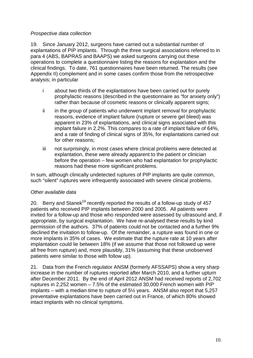#### *Prospective data collection*

19. Since January 2012, surgeons have carried out a substantial number of explantations of PIP implants. Through the three surgical associations referred to in para [4](#page-8-0) (ABS, BAPRAS and BAAPS) we asked surgeons carrying out these operations to complete a questionnaire listing the reasons for explantation and the clinical findings. To date, 761 questionnaires have been returned. The results (see Appendix II) complement and in some cases confirm those from the retrospective analysis; in particular

- i about two thirds of the explantations have been carried out for purely prophylactic reasons (described in the questionnaire as "for anxiety only") rather than because of cosmetic reasons or clinically apparent signs;
- ii in the group of patients who underwent implant removal for prophylactic reasons, evidence of implant failure (rupture or severe gel bleed) was apparent in 23% of explantations, and clinical signs associated with this implant failure in 2.2%. This compares to a rate of implant failure of 64%, and a rate of finding of clinical signs of 35%, for explantations carried out for other reasons;
- iii not surprisingly, in most cases where clinical problems were detected at explantation, these were already apparent to the patient or clinician before the operation – few women who had explantation for prophylactic reasons had these more significant problems.

In sum, although clinically undetected ruptures of PIP implants are quite common, such "silent" ruptures were infrequently associated with severe clinical problems.

#### <span id="page-13-0"></span>*Other available data*

<span id="page-13-1"></span>20. Berry and Stanek<sup>19</sup> recently reported the results of a follow-up study of 457 patients who received PIP implants between 2000 and 2005. All patients were invited for a follow-up and those who responded were assessed by ultrasound and, if appropriate, by surgical explantation. We have re-analysed these results by kind permission of the authors. 37% of patients could not be contacted and a further 9% declined the invitation to follow-up. Of the remainder, a rupture was found in one or more implants in 35% of cases. We estimate that the rupture rate at 10 years after implantation could lie between 18% (if we assume that those not followed up were all free from rupture) and, more plausibly, 31% (assuming that these unobserved patients were similar to those with follow up).

21. Data from the French regulator ANSM (formerly AFSSAPS) show a very sharp increase in the number of ruptures reported after March 2010, and a further upturn after December 2011. By the end of April 2012 ANSM had received reports of 2,702 ruptures in 2,252 women – 7.5% of the estimated 30,000 French women with PIP implants – with a median time to rupture of 5½ years. ANSM also report that 5,257 preventative explantations have been carried out in France, of which 80% showed intact implants with no clinical symptoms.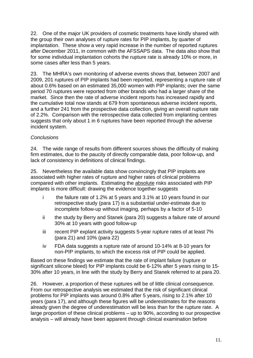22. One of the major UK providers of cosmetic treatments have kindly shared with the group their own analyses of rupture rates for PIP implants, by quarter of implantation. These show a very rapid increase in the number of reported ruptures after December 2011, in common with the AFSSAPS data. The data also show that for some individual implantation cohorts the rupture rate is already 10% or more, in some cases after less than 5 years.

23. The MHRA's own monitoring of adverse events shows that, between 2007 and 2009, 201 ruptures of PIP implants had been reported, representing a rupture rate of about 0.6% based on an estimated 35,000 women with PIP implants; over the same period 70 ruptures were reported from other brands who had a larger share of the market. Since then the rate of adverse incident reports has increased rapidly and the cumulative total now stands at 679 from spontaneous adverse incident reports, and a further 241 from the prospective data collection, giving an overall rupture rate of 2.2%. Comparison with the retrospective data collected from implanting centres suggests that only about 1 in 6 ruptures have been reported through the adverse incident system.

#### *Conclusions*

24. The wide range of results from different sources shows the difficulty of making firm estimates, due to the paucity of directly comparable data, poor follow-up, and lack of consistency in definitions of clinical findings.

25. Nevertheless the available data show convincingly that PIP implants are associated with higher rates of rupture and higher rates of clinical problems compared with other implants. Estimating the absolute risks associated with PIP implants is more difficult: drawing the evidence together suggests

- i the failure rate of 1.2% at 5 years and 3.1% at 10 years found in our retrospective study (para 17) is a substantial under-estimate due to incomplete follow-up without imaging, perhaps by a factor of 5-10
- ii the study by Berry and Stanek (para [20\)](#page-13-1) suggests a failure rate of around 30% at 10 years with good follow-up
- iii recent PIP explant activity suggests 5-year rupture rates of at least 7% (para 21) and 10% (para 22)
- iv FDA data suggests a rupture rate of around 10-14% at 8-10 years for non-PIP implants, to which the excess risk of PIP could be applied.

Based on these findings we estimate that the rate of implant failure (rupture or significant silicone bleed) for PIP implants could be 6-12% after 5 years rising to 15- 30% after 10 years, in line with the study by Berry and Stanek referred to at para [20.](#page-13-1)

26. However, a proportion of these ruptures will be of little clinical consequence. From our retrospective analysis we estimated that the risk of significant clinical problems for PIP implants was around 0.8% after 5 years, rising to 2.1% after 10 years (para 17), and although these figures will be underestimates for the reasons already given the degree of underestimation will be less than for the rupture rate. A large proportion of these clinical problems – up to 90%, according to our prospective analysis – will already have been apparent through clinical examination before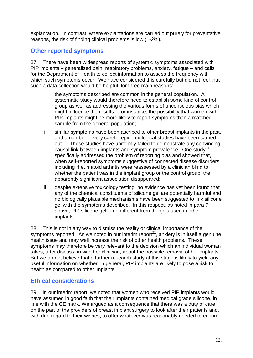explantation. In contrast, where explantations are carried out purely for preventative reasons, the risk of finding clinical problems is low (1-2%).

#### <span id="page-15-0"></span>**Other reported symptoms**

27. There have been widespread reports of systemic symptoms associated with PIP implants – generalised pain, respiratory problems, anxiety, fatigue – and calls for the Department of Health to collect information to assess the frequency with which such symptoms occur. We have considered this carefully but did not feel that such a data collection would be helpful, for three main reasons:

- i the symptoms described are common in the general population. A systematic study would therefore need to establish some kind of control group as well as addressing the various forms of unconscious bias which might influence the results – for instance, the possibility that women with PIP implants might be more likely to report symptoms than a matched sample from the general population;
- <span id="page-15-1"></span>ii similar symptoms have been ascribed to other breast implants in the past, and a number of very careful epidemiological studies have been carried out<sup>20</sup>. These studies have uniformly failed to demonstrate any convincing causal link between implants and symptom prevalence. One study<sup>21</sup> specifically addressed the problem of reporting bias and showed that, when self-reported symptoms suggestive of connected disease disorders including rheumatoid arthritis were reassessed by a clinician blind to whether the patient was in the implant group or the control group, the apparently significant association disappeared;
- iii despite extensive toxicology testing, no evidence has yet been found that any of the chemical constituents of silicone gel are potentially harmful and no biologically plausible mechanisms have been suggested to link silicone gel with the symptoms described. In this respect, as noted in para [7](#page-9-2) above, PIP silicone gel is no different from the gels used in other implants.

28. This is not in any way to dismiss the reality or clinical importance of the symptoms reported. As we noted in our interim report<sup>22</sup>, anxiety is in itself a genuine health issue and may well increase the risk of other health problems. These symptoms may therefore be very relevant to the decision which an individual woman takes, after discussion with her clinician, about the possible removal of her implants. But we do not believe that a further research study at this stage is likely to yield any useful information on whether, in general, PIP implants are likely to pose a risk to health as compared to other implants.

#### **Ethical considerations**

29. In our interim report, we noted that women who received PIP implants would have assumed in good faith that their implants contained medical grade silicone, in line with the CE mark. We argued as a consequence that there was a duty of care on the part of the providers of breast implant surgery to look after their patients and, with due regard to their wishes, to offer whatever was reasonably needed to ensure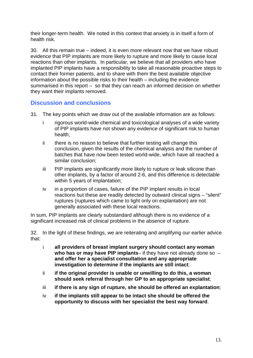their longer-term health. We noted in this context that anxiety is in itself a form of health risk.

30. All this remain true – indeed, it is even more relevant now that we have robust evidence that PIP implants are more likely to rupture and more likely to cause local reactions than other implants. In particular, we believe that all providers who have implanted PIP implants have a responsibility to take all reasonable proactive steps to contact their former patients, and to share with them the best available objective information about the possible risks to their health – including the evidence summarised in this report – so that they can reach an informed decision on whether they want their implants removed.

#### <span id="page-16-0"></span>**Discussion and conclusions**

- 31. The key points which we draw out of the available information are as follows:
	- i rigorous world-wide chemical and toxicological analyses of a wide variety of PIP implants have not shown any evidence of significant risk to human health;
	- ii there is no reason to believe that further testing will change this conclusion, given the results of the chemical analysis and the number of batches that have now been tested world-wide, which have all reached a similar conclusion;
	- iii PIP implants are significantly more likely to rupture or leak silicone than other implants, by a factor of around 2-6, and this difference is detectable within 5 years of implantation;
	- iv in a proportion of cases, failure of the PIP implant results in local reactions but these are readily detected by outward clinical signs – "silent" ruptures (ruptures which came to light only on explantation) are not generally associated with these local reactions.

In sum, PIP implants are clearly substandard although there is no evidence of a significant increased risk of clinical problems in the absence of rupture.

32. In the light of these findings, we are reiterating and amplifying our earlier advice that:

- i **all providers of breast implant surgery should contact any woman who has or may have PIP implants**– if they have not already done so – **and offer her a specialist consultation and any appropriate investigation to determine if the implants are still intact**;
- ii **if the original provider is unable or unwilling to do this, a woman should seek referral through her GP to an appropriate specialist**;
- iii **if there is any sign of rupture, she should be offered an explantation**;
- <span id="page-16-1"></span>iv **if the implants still appear to be intact she should be offered the opportunity to discuss with her specialist the best way forward**.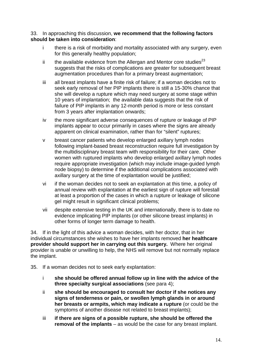33. In approaching this discussion, **we recommend that the following factors should be taken into consideration**:

- i there is a risk of morbidity and mortality associated with any surgery, even for this generally healthy population;
- ii the available evidence from the Allergan and Mentor core studies $^{23}$ suggests that the risks of complications are greater for subsequent breast augmentation procedures than for a primary breast augmentation;
- iii all breast implants have a finite risk of failure; if a woman decides not to seek early removal of her PIP implants there is still a 15-30% chance that she will develop a rupture which may need surgery at some stage within 10 years of implantation; the available data suggests that the risk of failure of PIP implants in any 12-month period is more or less constant from 3 years after implantation onwards;
- iv the more significant adverse consequences of rupture or leakage of PIP implants appear to occur primarily in cases where the signs are already apparent on clinical examination, rather than for "silent" ruptures;
- v breast cancer patients who develop enlarged axillary lymph nodes following implant-based breast reconstruction require full investigation by the multidisciplinary breast team with responsibility for their care. Other women with ruptured implants who develop enlarged axillary lymph nodes require appropriate investigation (which may include image-guided lymph node biopsy) to determine if the additional complications associated with axillary surgery at the time of explantation would be justified;
- vi if the woman decides not to seek an explantation at this time, a policy of annual review with explantation at the earliest sign of rupture will forestall at least a proportion of the cases in which a rupture or leakage of silicone gel might result in significant clinical problems;
- vii despite extensive testing in the UK and internationally, there is to date no evidence implicating PIP implants (or other silicone breast implants) in other forms of longer term damage to health.

34. If in the light of this advice a woman decides, with her doctor, that in her individual circumstances she wishes to have her implants removed **her healthcare provider should support her in carrying out this surgery.** Where her original provider is unable or unwilling to help, the NHS will remove but not normally replace the implant.

- <span id="page-17-0"></span>35. If a woman decides not to seek early explantation:
	- i **she should be offered annual follow up in line with the advice of the three specialty surgical associations** (see para [4\)](#page-8-0);
	- ii **she should be encouraged to consult her doctor if she notices any signs of tenderness or pain, or swollen lymph glands in or around her breasts or armpits, which may indicate a rupture** (or could be the symptoms of another disease not related to breast implants);
	- iii **if there are signs of a possible rupture, she should be offered the removal of the implants** – as would be the case for any breast implant.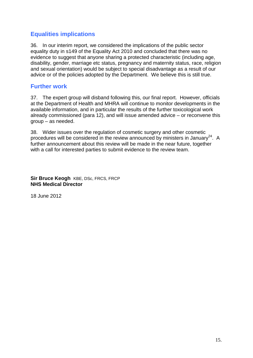### **Equalities implications**

36. In our interim report, we considered the implications of the public sector equality duty in s149 of the Equality Act 2010 and concluded that there was no evidence to suggest that anyone sharing a protected characteristic (including age, disability, gender, marriage etc status, pregnancy and maternity status, race, religion and sexual orientation) would be subject to special disadvantage as a result of our advice or of the policies adopted by the Department. We believe this is still true.

#### <span id="page-18-0"></span>**Further work**

37. The expert group will disband following this, our final report. However, officials at the Department of Health and MHRA will continue to monitor developments in the available information, and in particular the results of the further toxicological work already commissioned (para 12), and will issue amended advice – or reconvene this group – as needed.

38. Wider issues over the regulation of cosmetic surgery and other cosmetic procedures will be considered in the review announced by ministers in January<sup>24</sup>. A further announcement about this review will be made in the near future, together with a call for interested parties to submit evidence to the review team.

**Sir Bruce Keogh** KBE, DSc, FRCS, FRCP **NHS Medical Director**

18 June 2012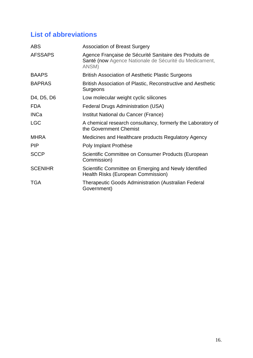## <span id="page-19-0"></span>**List of abbreviations**

| <b>ABS</b>                                       | <b>Association of Breast Surgery</b>                                                                                      |
|--------------------------------------------------|---------------------------------------------------------------------------------------------------------------------------|
| <b>AFSSAPS</b>                                   | Agence Française de Sécurité Sanitaire des Produits de<br>Santé (now Agence Nationale de Sécurité du Medicament,<br>ANSM) |
| <b>BAAPS</b>                                     | <b>British Association of Aesthetic Plastic Surgeons</b>                                                                  |
| <b>BAPRAS</b>                                    | British Association of Plastic, Reconstructive and Aesthetic<br>Surgeons                                                  |
| D <sub>4</sub> , D <sub>5</sub> , D <sub>6</sub> | Low molecular weight cyclic silicones                                                                                     |
| <b>FDA</b>                                       | <b>Federal Drugs Administration (USA)</b>                                                                                 |
| <b>INCa</b>                                      | Institut National du Cancer (France)                                                                                      |
| <b>LGC</b>                                       | A chemical research consultancy, formerly the Laboratory of<br>the Government Chemist                                     |
| <b>MHRA</b>                                      | Medicines and Healthcare products Regulatory Agency                                                                       |
| <b>PIP</b>                                       | Poly Implant Prothèse                                                                                                     |
| <b>SCCP</b>                                      | Scientific Committee on Consumer Products (European<br>Commission)                                                        |
| <b>SCENIHR</b>                                   | Scientific Committee on Emerging and Newly Identified<br>Health Risks (European Commission)                               |
| <b>TGA</b>                                       | <b>Therapeutic Goods Administration (Australian Federal</b><br>Government)                                                |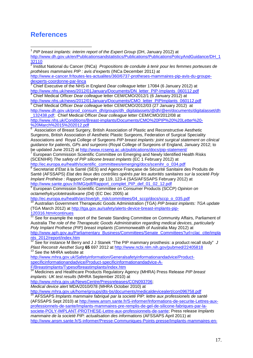### <span id="page-20-0"></span>**References**

<span id="page-20-1"></span><sup>1</sup> PIP breast implants: interim report of the Expert Group (DH, January 2012) at [http://www.dh.gov.uk/en/Publicationsandstatistics/Publications/PublicationsPolicyAndGuidance/DH\\_1](http://www.dh.gov.uk/en/Publicationsandstatistics/Publications/PublicationsPolicyAndGuidance/DH_132110) [32110](http://www.dh.gov.uk/en/Publicationsandstatistics/Publications/PublicationsPolicyAndGuidance/DH_132110)

<sup>2</sup> Institut National du Cancer (INCa) *Propositions de conduite à tenir pour les femmes porteuses de prothèses mammaires PIP : avis d'experts* (INCa December 2011) at [http://www.e-cancer.fr/toutes-les-actualites/360/6737-protheses-mammaires-pip-avis-du-groupe](http://www.e-cancer.fr/toutes-les-actualites/360/6737-protheses-mammaires-pip-avis-du-groupe-dexperts-coordonne-par-linca)[dexperts-coordonne-par-linca](http://www.e-cancer.fr/toutes-les-actualites/360/6737-protheses-mammaires-pip-avis-du-groupe-dexperts-coordonne-par-linca)

<sup>3</sup> Chief Executive of the NHS in England *Dear colleague* letter 17084 (6 January 2012) at

<sup>4</sup> Chief Medical Officer Dear colleague letter CEM/CMO/2012/1 (6 January 2012) at [http://www.nhs.uk/news/2012/01January/Documents/CMO\\_letter\\_PIPImplants\\_060112.pdf](http://www.nhs.uk/news/2012/01January/Documents/CMO_letter_PIPImplants_060112.pdf)

<sup>5</sup> Chief Medical Officer *Dear colleague* letter CEM/CMO/2012/03 (27 January 2012) at [http://www.dh.gov.uk/prod\\_consum\\_dh/groups/dh\\_digitalassets/@dh/@en/documents/digitalasset/dh](http://www.dh.gov.uk/prod_consum_dh/groups/dh_digitalassets/@dh/@en/documents/digitalasset/dh_132438.pdf) [\\_132438.pdf;](http://www.dh.gov.uk/prod_consum_dh/groups/dh_digitalassets/@dh/@en/documents/digitalasset/dh_132438.pdf) Chief Medical Officer *Dear colleague* letter CEM/CMO/2012/08 at

[http://www.nhs.uk/Conditions/Breast-implants/Documents/CMO%20PIP%20%20Letter%20-](http://www.nhs.uk/Conditions/Breast-implants/Documents/CMO%20PIP%20%20Letter%20-%20March%2015%202012.pdf) [%20March%2015%202012.pdf](http://www.nhs.uk/Conditions/Breast-implants/Documents/CMO%20PIP%20%20Letter%20-%20March%2015%202012.pdf)

6 Association of Breast Surgery, British Association of Plastic and Reconstructive Aesthetic Surgeons, British Association of Aesthetic Plastic Surgeons, Federation of Surgical Speciality Associations and Royal College of Surgeons *PIP breast implants: joint surgical statement on clinical guidance for patients, GPs and surgeons* (Royal College of Surgeons of England, January 2012; to

be updated June 2012) at<http://www.rcseng.ac.uk/publications/docs/pip-statement/><br><sup>7</sup> European Commission Scientific Committee on Emerging and Newly Identified Health Risks (SCENIHR) *The safety of PIP silicone breast implants* (EC 1 February 2012) at [http://ec.europa.eu/health/scientific\\_committees/emerging/docs/scenihr\\_o\\_034.pdf](http://ec.europa.eu/health/scientific_committees/emerging/docs/scenihr_o_034.pdf)

<sup>8</sup> Secretariat d'Etat à la Santé (SES) and Agence Française de Sécurité Sanitaire des Produits de Santé (AFSSAPS) *Etat des lieux des contrôles opérés par les autorités sanitaires sur la societé Poly Implant Prothèse : Rapport Complet* pp 119, 123-4 (SAS/AFSSAPS February 2012) at [http://www.sante.gouv.fr/IMG/pdf/Rapport\\_complet\\_PIP\\_def\\_01\\_02\\_12.pdf](http://www.sante.gouv.fr/IMG/pdf/Rapport_complet_PIP_def_01_02_12.pdf) <sup>9</sup> European Commission Scientific Committee on Consumer Products (SCCP) *Opinion on* 

*octamethylcyclotetrasiloxane (D4)* (EC Dec 2005) at

[http://ec.europa.eu/health/archive/ph\\_risk/committees/04\\_sccp/docs/sccp\\_o\\_035.pdf](http://ec.europa.eu/health/archive/ph_risk/committees/04_sccp/docs/sccp_o_035.pdf) <sup>10</sup> Australian Government Therapeutic Goods Administration (TGA) *PIP breast implants: TGA update* (TGA March 2012) at [http://tga.gov.au/safety/alerts-device-breast-implants-pip-](http://tga.gov.au/safety/alerts-device-breast-implants-pip-120316.htm#continues)

[120316.htm#continues](http://tga.gov.au/safety/alerts-device-breast-implants-pip-120316.htm#continues)

See for example the report of the Senate Standing Committee on Community Affairs, Parliament of Australia *The role of the Therapeutic Goods Administration regarding medical devices, particularly Poly Implant Prothese (PIP) breast implants* (Commonwealth of Australia May 2012) at [http://www.aph.gov.au/Parliamentary\\_Business/Committees/Senate\\_Committees?url=clac\\_ctte/impla](http://www.aph.gov.au/Parliamentary_Business/Committees/Senate_Committees?url=clac_ctte/implants_2012/report/index.htm) [nts\\_2012/report/index.htm](http://www.aph.gov.au/Parliamentary_Business/Committees/Senate_Committees?url=clac_ctte/implants_2012/report/index.htm)

<sup>12</sup> See for instance M Berry and J J Stanek "The PIP mammary prosthesis: a product recall study" J *Plast Reconstr Aesthet Surg* **<sup>65</sup>** 697 2012 at<http://www.ncbi.nlm.nih.gov/pubmed/22405818> <sup>13</sup> See the MHRA website at

[http://www.mhra.gov.uk/Safetyinformation/Generalsafetyinformationandadvice/Product](http://www.mhra.gov.uk/Safetyinformation/Generalsafetyinformationandadvice/Product-specificinformationandadvice/Product-specificinformationandadvice-A-F/Breastimplants/Typesofbreastimplants/index.htm)[specificinformationandadvice/Product-specificinformationandadvice-A-](http://www.mhra.gov.uk/Safetyinformation/Generalsafetyinformationandadvice/Product-specificinformationandadvice/Product-specificinformationandadvice-A-F/Breastimplants/Typesofbreastimplants/index.htm)[F/Breastimplants/Typesofbreastimplants/index.htm](http://www.mhra.gov.uk/Safetyinformation/Generalsafetyinformationandadvice/Product-specificinformationandadvice/Product-specificinformationandadvice-A-F/Breastimplants/Typesofbreastimplants/index.htm)

<sup>14</sup> Medicines and Healthcare Products Regulatory Agency (MHRA) Press Release *PIP breast implants: UK test results* (MHRA September 2010) at

[http://www.mhra.gov.uk/NewsCentre/Pressreleases/CON093706;](http://www.mhra.gov.uk/NewsCentre/Pressreleases/CON093706)

*Medical device alert* MDA/2010/078 (MHRA October 2010) at <http://www.mhra.gov.uk/home/groups/dts-bs/documents/medicaldevicealert/con096758.pdf> <sup>15</sup> AFSSAPS *Implants mammaire fabriqué par la societé PIP: lettre aux professionels de santé* 

(AFSSAPS Sept 2010) at [http://www.ansm.sante.fr/S-informer/Informations-de-securite-Lettres-aux](http://www.ansm.sante.fr/S-informer/Informations-de-securite-Lettres-aux-professionnels-de-sante/Implants-mammaires-pre-remplis-de-gel-de-silicone-fabriques-par-la-societe-POLY-IMPLANT-PROTHESE-Lettre-aux-professionnels-de-sante)[professionnels-de-sante/Implants-mammaires-pre-remplis-de-gel-de-silicone-fabriques-par-la](http://www.ansm.sante.fr/S-informer/Informations-de-securite-Lettres-aux-professionnels-de-sante/Implants-mammaires-pre-remplis-de-gel-de-silicone-fabriques-par-la-societe-POLY-IMPLANT-PROTHESE-Lettre-aux-professionnels-de-sante)[societe-POLY-IMPLANT-PROTHESE-Lettre-aux-professionnels-de-sante;](http://www.ansm.sante.fr/S-informer/Informations-de-securite-Lettres-aux-professionnels-de-sante/Implants-mammaires-pre-remplis-de-gel-de-silicone-fabriques-par-la-societe-POLY-IMPLANT-PROTHESE-Lettre-aux-professionnels-de-sante) Press release *Implants mammaire de la societé PIP: actualisation des informations* (AFSSAPS April 2011) at [http://www.ansm.sante.fr/S-informer/Presse-Communiques-Points-presse/Implants-mammaires-en-](http://www.ansm.sante.fr/S-informer/Presse-Communiques-Points-presse/Implants-mammaires-en-gel-de-silicone-de-la-societe-Poly-Implant-Prothese-actualisation-des-Informations-Communique/(language)/fre-FR)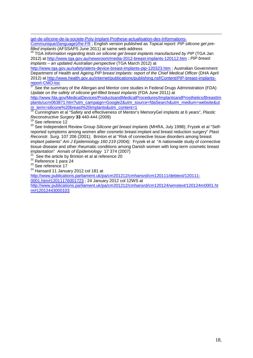[gel-de-silicone-de-la-societe-Poly-Implant-Prothese-actualisation-des-Informations-](http://www.ansm.sante.fr/S-informer/Presse-Communiques-Points-presse/Implants-mammaires-en-gel-de-silicone-de-la-societe-Poly-Implant-Prothese-actualisation-des-Informations-Communique/(language)/fre-FR)

[Communique/\(language\)/fre-FR](http://www.ansm.sante.fr/S-informer/Presse-Communiques-Points-presse/Implants-mammaires-en-gel-de-silicone-de-la-societe-Poly-Implant-Prothese-actualisation-des-Informations-Communique/(language)/fre-FR); English version published as *Topical report: PIP silicone gel pre-*<br>filled implants (AFSSAPS June 2011) at same web address

<sup>16</sup> TGA *Information regarding tests on silicone gel breast implants manufactured by PIP* (TGA Jan 2012) at<http://www.tga.gov.au/newsroom/media-2012-breast-implants-120112.htm> ; *PIP breast implants – an updated Australian perspective* (TGA March 2012) at

<http://www.tga.gov.au/safety/alerts-device-breast-implants-pip-120323.htm> ; Australian Government Department of Health and Ageing *PIP breast implants: report of the Chief Medical Officer* (DHA April 2012) at [http://www.health.gov.au/internet/publications/publishing.nsf/Content/PIP-breast-implants](http://www.health.gov.au/internet/publications/publishing.nsf/Content/PIP-breast-implants-report-CMO-toc)[report-CMO-toc](http://www.health.gov.au/internet/publications/publishing.nsf/Content/PIP-breast-implants-report-CMO-toc)

See the summary of the Allergan and Mentor core studies in Federal Drugs Administration (FDA) *Update on the safety of silicone gel-filled breast implants* (FDA June 2011) at

[http://www.fda.gov/MedicalDevices/ProductsandMedicalProcedures/ImplantsandProsthetics/BreastIm](http://www.fda.gov/MedicalDevices/ProductsandMedicalProcedures/ImplantsandProsthetics/BreastImplants/ucm063871.htm?utm_campaign=Google2&utm_source=fdaSearch&utm_medium=website&utm_term=silicone%20breast%20implants&utm_content=1) [plants/ucm063871.htm?utm\\_campaign=Google2&utm\\_source=fdaSearch&utm\\_medium=website&ut](http://www.fda.gov/MedicalDevices/ProductsandMedicalProcedures/ImplantsandProsthetics/BreastImplants/ucm063871.htm?utm_campaign=Google2&utm_source=fdaSearch&utm_medium=website&utm_term=silicone%20breast%20implants&utm_content=1) [m\\_term=silicone%20breast%20implants&utm\\_content=1](http://www.fda.gov/MedicalDevices/ProductsandMedicalProcedures/ImplantsandProsthetics/BreastImplants/ucm063871.htm?utm_campaign=Google2&utm_source=fdaSearch&utm_medium=website&utm_term=silicone%20breast%20implants&utm_content=1)

<sup>18</sup> Cunningham et al "Safety and effectiveness of Mentor's MemoryGel implants at 6 years", *Plastic Reconstructive Surgery* 33 440-444 (2009)<br><sup>19</sup> See reference [12](#page-10-1)

<sup>20</sup> See Independent Review Group *Silicone gel breast implants* (MHRA, July 1998); Fryzek et al "Selfreported symptoms among women after cosmetic breast implant and breast reduction surgery" *Plast. Reconstr. Surg.* 107 206 (2001); Brinton et al "Risk of connective tissue disorders among breast implant patients" *Am J Epidemiology 160 219 (2004);* Fryzek et al"A nationwide study of connective tissue disease and other rheumatic conditions among Danish women with long-term cosmetic breast<br>implantation" Annals of Epidemiology 17 374 (2007)

<sup>21</sup> See the article by Brinton et al at reference [20](#page-15-1)

 $22$  Reference 1 para 24<br> $23$  See reference [17](#page-11-3)

<sup>24</sup> Hansard 11 January 2012 col 181 at

[http://www.publications.parliament.uk/pa/cm201212/cmhansrd/cm120111/debtext/120111-](http://www.publications.parliament.uk/pa/cm201212/cmhansrd/cm120111/debtext/120111-0001.htm#12011176001723)

[0001.htm#12011176001723](http://www.publications.parliament.uk/pa/cm201212/cmhansrd/cm120111/debtext/120111-0001.htm#12011176001723) ; 24 January 2012 col 12WS at

[http://www.publications.parliament.uk/pa/cm201212/cmhansrd/cm120124/wmstext/120124m0001.ht](http://www.publications.parliament.uk/pa/cm201212/cmhansrd/cm120124/wmstext/120124m0001.htm#12012443000103) [m#12012443000103](http://www.publications.parliament.uk/pa/cm201212/cmhansrd/cm120124/wmstext/120124m0001.htm#12012443000103)